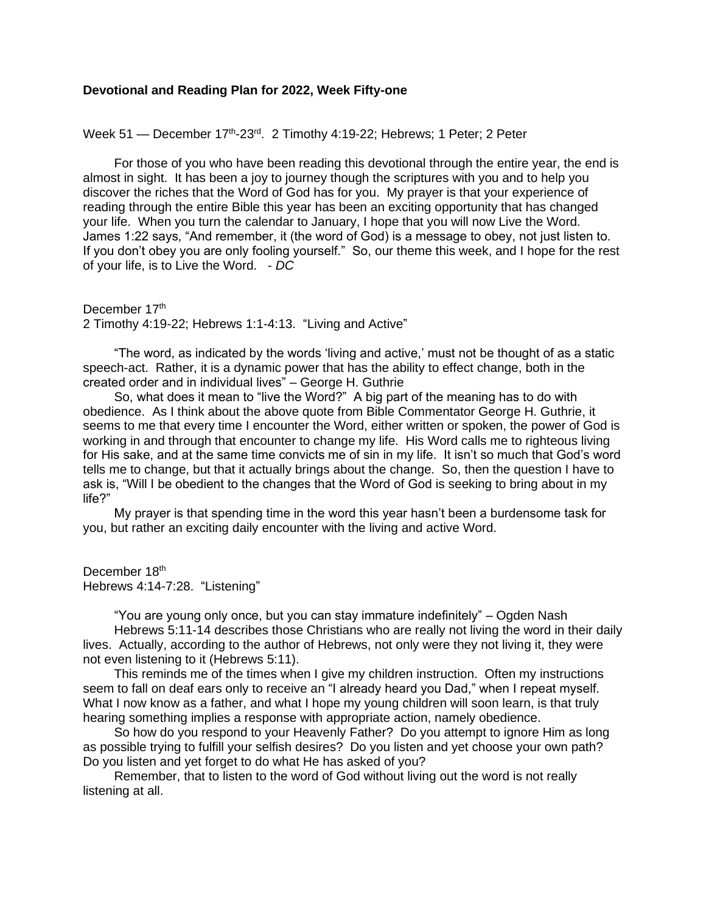## **Devotional and Reading Plan for 2022, Week Fifty-one**

Week 51 — December 17<sup>th</sup>-23<sup>rd</sup>. 2 Timothy 4:19-22; Hebrews; 1 Peter; 2 Peter

For those of you who have been reading this devotional through the entire year, the end is almost in sight. It has been a joy to journey though the scriptures with you and to help you discover the riches that the Word of God has for you. My prayer is that your experience of reading through the entire Bible this year has been an exciting opportunity that has changed your life. When you turn the calendar to January, I hope that you will now Live the Word. James 1:22 says, "And remember, it (the word of God) is a message to obey, not just listen to. If you don't obey you are only fooling yourself." So, our theme this week, and I hope for the rest of your life, is to Live the Word. - *DC*

December 17th 2 Timothy 4:19-22; Hebrews 1:1-4:13. "Living and Active"

"The word, as indicated by the words 'living and active,' must not be thought of as a static speech-act. Rather, it is a dynamic power that has the ability to effect change, both in the created order and in individual lives" – George H. Guthrie

So, what does it mean to "live the Word?" A big part of the meaning has to do with obedience. As I think about the above quote from Bible Commentator George H. Guthrie, it seems to me that every time I encounter the Word, either written or spoken, the power of God is working in and through that encounter to change my life. His Word calls me to righteous living for His sake, and at the same time convicts me of sin in my life. It isn't so much that God's word tells me to change, but that it actually brings about the change. So, then the question I have to ask is, "Will I be obedient to the changes that the Word of God is seeking to bring about in my life?"

My prayer is that spending time in the word this year hasn't been a burdensome task for you, but rather an exciting daily encounter with the living and active Word.

December 18th Hebrews 4:14-7:28. "Listening"

"You are young only once, but you can stay immature indefinitely" – Ogden Nash

Hebrews 5:11-14 describes those Christians who are really not living the word in their daily lives. Actually, according to the author of Hebrews, not only were they not living it, they were not even listening to it (Hebrews 5:11).

This reminds me of the times when I give my children instruction. Often my instructions seem to fall on deaf ears only to receive an "I already heard you Dad," when I repeat myself. What I now know as a father, and what I hope my young children will soon learn, is that truly hearing something implies a response with appropriate action, namely obedience.

So how do you respond to your Heavenly Father? Do you attempt to ignore Him as long as possible trying to fulfill your selfish desires? Do you listen and yet choose your own path? Do you listen and yet forget to do what He has asked of you?

Remember, that to listen to the word of God without living out the word is not really listening at all.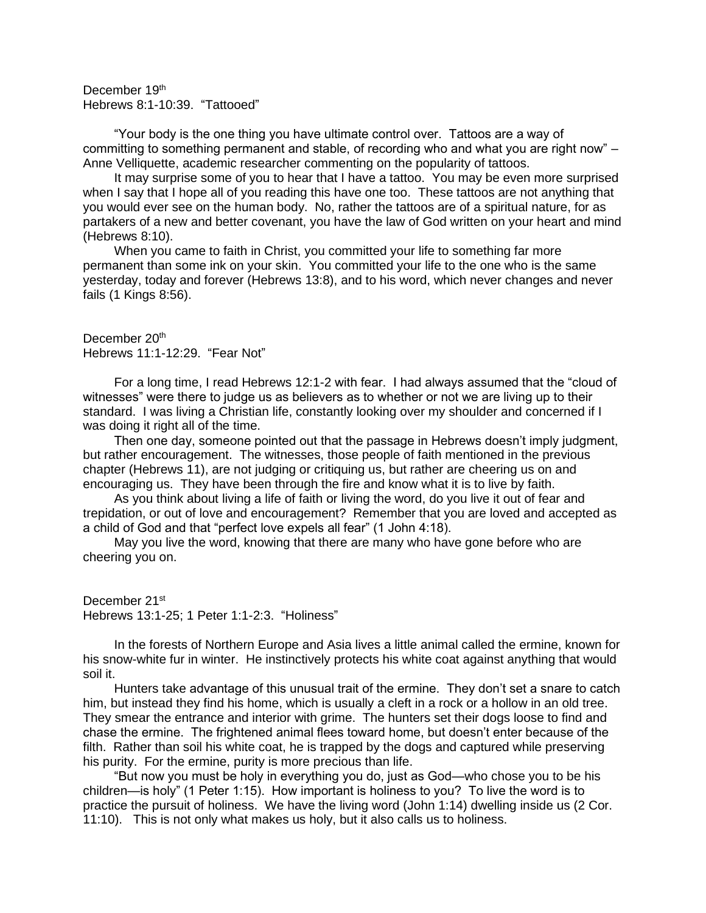December 19<sup>th</sup> Hebrews 8:1-10:39. "Tattooed"

"Your body is the one thing you have ultimate control over. Tattoos are a way of committing to something permanent and stable, of recording who and what you are right now" – Anne Velliquette, academic researcher commenting on the popularity of tattoos.

It may surprise some of you to hear that I have a tattoo. You may be even more surprised when I say that I hope all of you reading this have one too. These tattoos are not anything that you would ever see on the human body. No, rather the tattoos are of a spiritual nature, for as partakers of a new and better covenant, you have the law of God written on your heart and mind (Hebrews 8:10).

When you came to faith in Christ, you committed your life to something far more permanent than some ink on your skin. You committed your life to the one who is the same yesterday, today and forever (Hebrews 13:8), and to his word, which never changes and never fails (1 Kings 8:56).

December 20<sup>th</sup> Hebrews 11:1-12:29. "Fear Not"

For a long time, I read Hebrews 12:1-2 with fear. I had always assumed that the "cloud of witnesses" were there to judge us as believers as to whether or not we are living up to their standard. I was living a Christian life, constantly looking over my shoulder and concerned if I was doing it right all of the time.

Then one day, someone pointed out that the passage in Hebrews doesn't imply judgment, but rather encouragement. The witnesses, those people of faith mentioned in the previous chapter (Hebrews 11), are not judging or critiquing us, but rather are cheering us on and encouraging us. They have been through the fire and know what it is to live by faith.

As you think about living a life of faith or living the word, do you live it out of fear and trepidation, or out of love and encouragement? Remember that you are loved and accepted as a child of God and that "perfect love expels all fear" (1 John 4:18).

May you live the word, knowing that there are many who have gone before who are cheering you on.

December 21<sup>st</sup> Hebrews 13:1-25; 1 Peter 1:1-2:3. "Holiness"

In the forests of Northern Europe and Asia lives a little animal called the ermine, known for his snow-white fur in winter. He instinctively protects his white coat against anything that would soil it.

Hunters take advantage of this unusual trait of the ermine. They don't set a snare to catch him, but instead they find his home, which is usually a cleft in a rock or a hollow in an old tree. They smear the entrance and interior with grime. The hunters set their dogs loose to find and chase the ermine. The frightened animal flees toward home, but doesn't enter because of the filth. Rather than soil his white coat, he is trapped by the dogs and captured while preserving his purity. For the ermine, purity is more precious than life.

"But now you must be holy in everything you do, just as God—who chose you to be his children—is holy" (1 Peter 1:15). How important is holiness to you? To live the word is to practice the pursuit of holiness. We have the living word (John 1:14) dwelling inside us (2 Cor. 11:10). This is not only what makes us holy, but it also calls us to holiness.